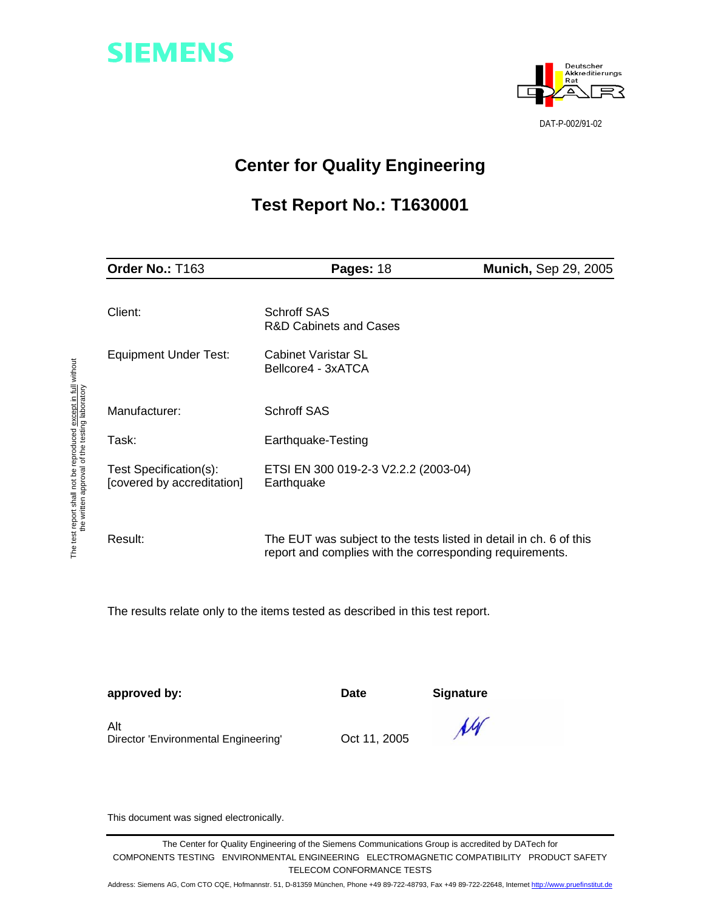



# **Center for Quality Engineering**

# **Test Report No.: T1630001**

| Order No.: T163                                      | Pages: 18                                                                                                                      | <b>Munich, Sep 29, 2005</b> |  |  |
|------------------------------------------------------|--------------------------------------------------------------------------------------------------------------------------------|-----------------------------|--|--|
| Client:                                              | <b>Schroff SAS</b><br><b>R&amp;D Cabinets and Cases</b>                                                                        |                             |  |  |
| <b>Equipment Under Test:</b>                         | Cabinet Varistar SL<br>Bellcore4 - 3xATCA                                                                                      |                             |  |  |
| Manufacturer:                                        | <b>Schroff SAS</b>                                                                                                             |                             |  |  |
| Task:                                                | Earthquake-Testing                                                                                                             |                             |  |  |
| Test Specification(s):<br>[covered by accreditation] | ETSI EN 300 019-2-3 V2.2.2 (2003-04)<br>Earthquake                                                                             |                             |  |  |
| Result:                                              | The EUT was subject to the tests listed in detail in ch. 6 of this<br>report and complies with the corresponding requirements. |                             |  |  |

The results relate only to the items tested as described in this test report.

**approved by:** Date Signature

Alt Director 'Environmental Engineering' Oct 11, 2005



This document was signed electronically.

The Center for Quality Engineering of the Siemens Communications Group is accredited by DATech for COMPONENTS TESTING ENVIRONMENTAL ENGINEERING ELECTROMAGNETIC COMPATIBILITY PRODUCT SAFETY TELECOM CONFORMANCE TESTS

Address: Siemens AG, Com CTO CQE, Hofmannstr. 51, D-81359 München, Phone +49 89-722-48793, Fax +49 89-722-22648, Internet http://www.pruefinstitut.de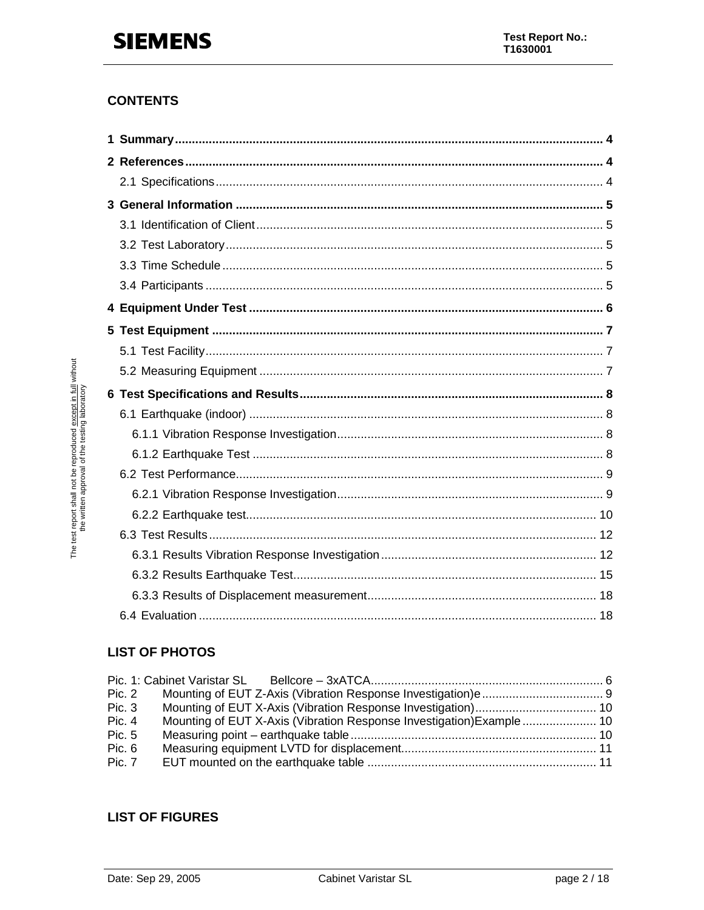## **CONTENTS**

# **LIST OF PHOTOS**

| Pic. 2 |               |                                                                      |  |
|--------|---------------|----------------------------------------------------------------------|--|
| Pic.3  |               |                                                                      |  |
| Pic. 4 |               | Mounting of EUT X-Axis (Vibration Response Investigation) Example 10 |  |
| Pic. 5 |               |                                                                      |  |
| Pic. 6 |               |                                                                      |  |
|        | <b>Pic. 7</b> |                                                                      |  |

## **LIST OF FIGURES**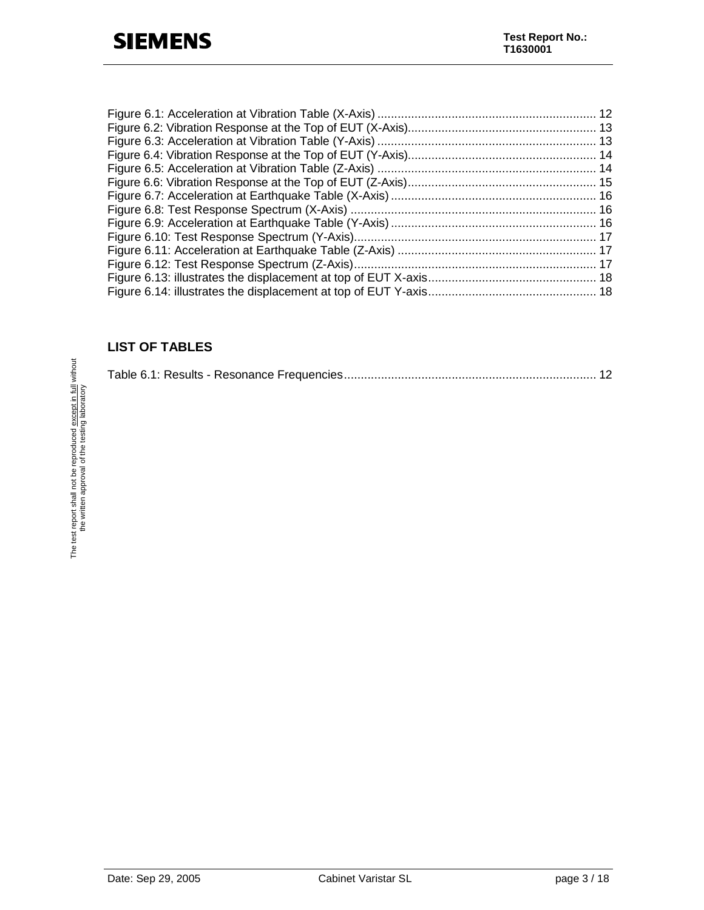## **LIST OF TABLES**

|--|--|--|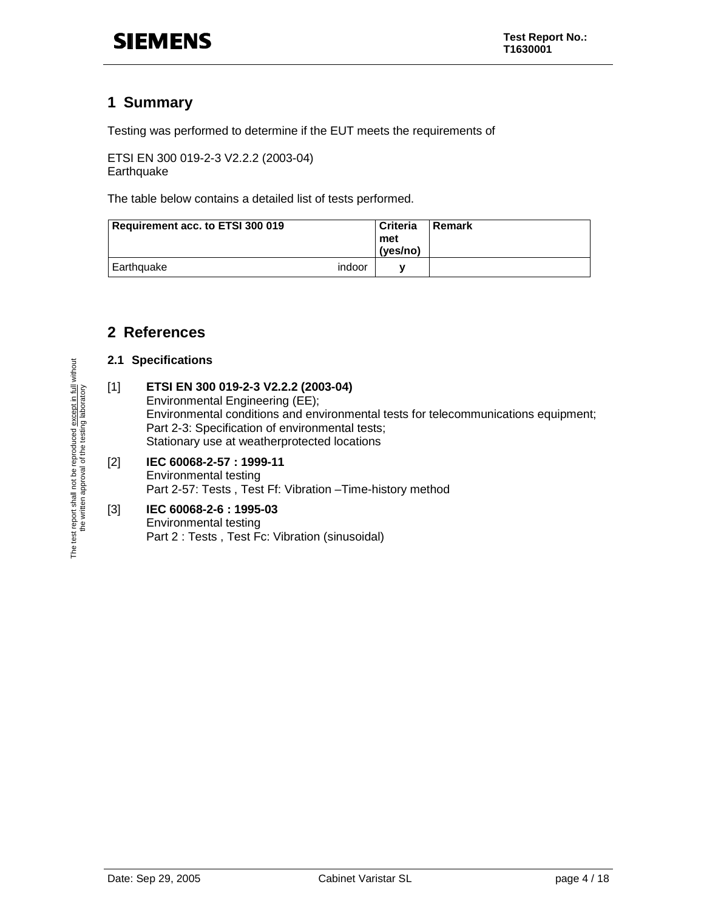# **1 Summary**

Testing was performed to determine if the EUT meets the requirements of

ETSI EN 300 019-2-3 V2.2.2 (2003-04) **Earthquake** 

The table below contains a detailed list of tests performed.

| Requirement acc. to ETSI 300 019 |        | <b>Criteria</b><br>met<br>(ves/no) | Remark |
|----------------------------------|--------|------------------------------------|--------|
| Earthquake                       | indoor |                                    |        |

# **2 References**

### **2.1 Specifications**

[1] **ETSI EN 300 019-2-3 V2.2.2 (2003-04)**  Environmental Engineering (EE); Environmental conditions and environmental tests for telecommunications equipment;

Part 2-3: Specification of environmental tests; Stationary use at weatherprotected locations

#### [2] **IEC 60068-2-57 : 1999-11**  Environmental testing Part 2-57: Tests , Test Ff: Vibration –Time-history method

#### [3] **IEC 60068-2-6 : 1995-03**  Environmental testing Part 2 : Tests , Test Fc: Vibration (sinusoidal)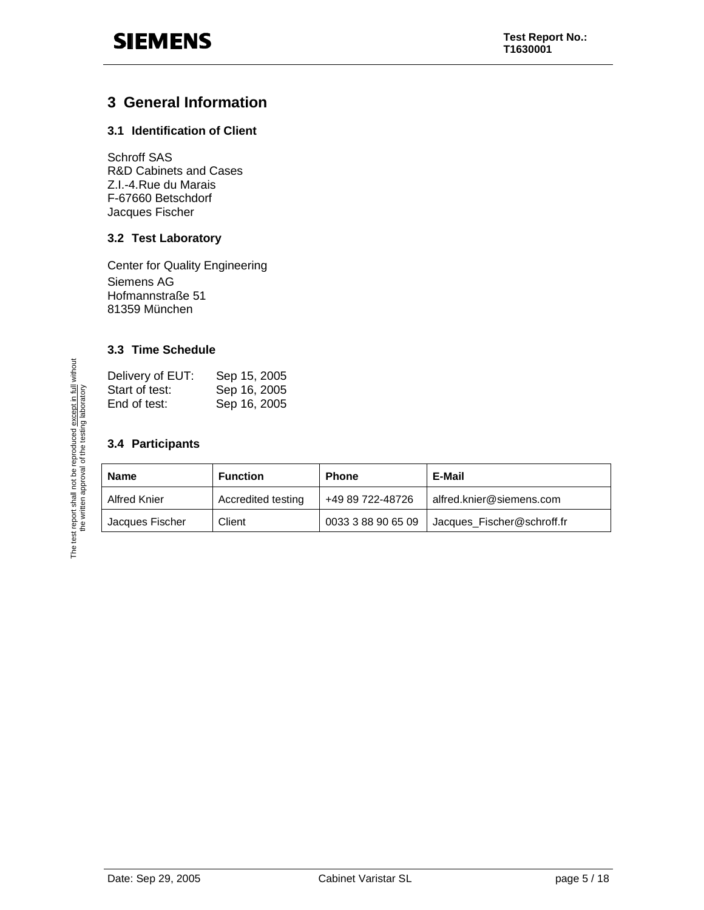# **3 General Information**

### **3.1 Identification of Client**

Schroff SAS R&D Cabinets and Cases Z.I.-4.Rue du Marais F-67660 Betschdorf Jacques Fischer

### **3.2 Test Laboratory**

Center for Quality Engineering Siemens AG Hofmannstraße 51 81359 München

### **3.3 Time Schedule**

| Delivery of EUT: | Sep 15, 2005 |
|------------------|--------------|
| Start of test:   | Sep 16, 2005 |
| End of test:     | Sep 16, 2005 |

### **3.4 Participants**

| <b>Name</b>     | <b>Function</b>    | <b>Phone</b>       | E-Mail                     |
|-----------------|--------------------|--------------------|----------------------------|
| Alfred Knier    | Accredited testing | +49 89 722-48726   | alfred.knier@siemens.com   |
| Jacques Fischer | Client             | 0033 3 88 90 65 09 | Jacques_Fischer@schroff.fr |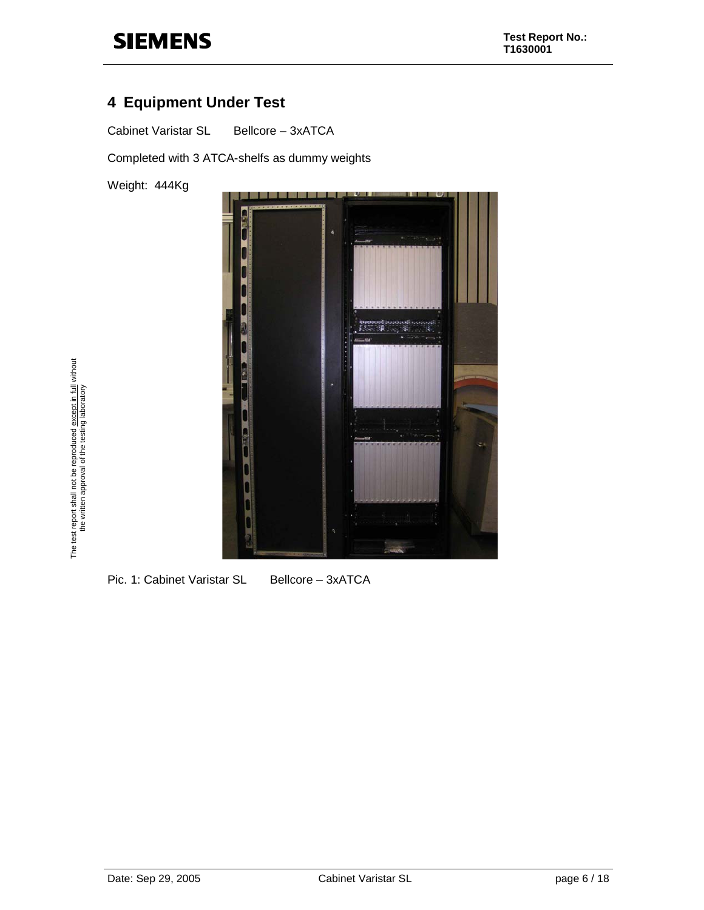# **4 Equipment Under Test**

Cabinet Varistar SL Bellcore - 3xATCA

Completed with 3 ATCA-shelfs as dummy weights

Weight: 444Kg



The test report shall not be reproduced <u>except in full</u> without<br>the written approval of the testing laboratory The test report shall not be reproduced except in full without the written approval of the testing laboratory

Pic. 1: Cabinet Varistar SL Bellcore - 3xATCA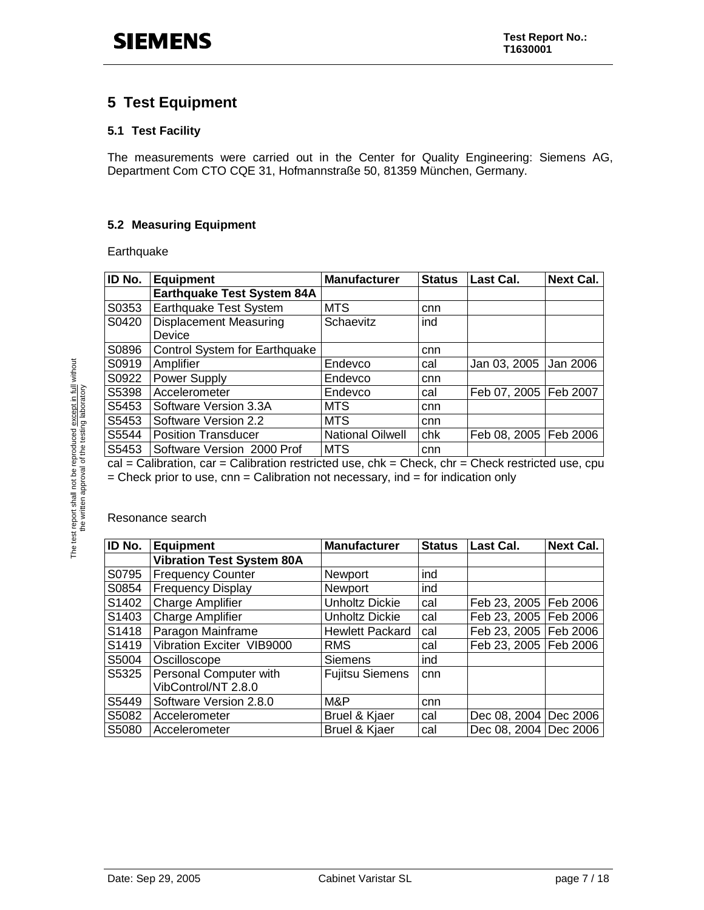# **5 Test Equipment**

### **5.1 Test Facility**

The measurements were carried out in the Center for Quality Engineering: Siemens AG, Department Com CTO CQE 31, Hofmannstraße 50, 81359 München, Germany.

### **5.2 Measuring Equipment**

**Earthquake** 

| ID No. | <b>Equipment</b>                        | <b>Manufacturer</b>     | <b>Status</b> | Last Cal.               | <b>Next Cal.</b> |
|--------|-----------------------------------------|-------------------------|---------------|-------------------------|------------------|
|        | <b>Earthquake Test System 84A</b>       |                         |               |                         |                  |
| S0353  | Earthquake Test System                  | <b>MTS</b>              | cnn           |                         |                  |
| S0420  | <b>Displacement Measuring</b><br>Device | Schaevitz               | ind           |                         |                  |
| S0896  | Control System for Earthquake           |                         | cnn           |                         |                  |
| S0919  | Amplifier                               | Endevco                 | cal           | Jan 03, 2005            | Jan 2006         |
| S0922  | Power Supply                            | Endevco                 | cnn           |                         |                  |
| S5398  | Accelerometer                           | Endevco                 | cal           | Feb 07, 2005   Feb 2007 |                  |
| S5453  | Software Version 3.3A                   | <b>MTS</b>              | cnn           |                         |                  |
| S5453  | Software Version 2.2                    | <b>MTS</b>              | cnn           |                         |                  |
| S5544  | <b>Position Transducer</b>              | <b>National Oilwell</b> | chk           | Feb 08, 2005            | Feb 2006         |
| S5453  | Software Version 2000 Prof              | <b>MTS</b>              | cnn           |                         |                  |

 $cal =$  Calibration, car = Calibration restricted use,  $chk = Check$ ,  $chr = Check$  restricted use,  $cpu$  $=$  Check prior to use, cnn  $=$  Calibration not necessary, ind  $=$  for indication only

Resonance search

| ID No. | <b>Equipment</b>                 | <b>Manufacturer</b>    | <b>Status</b> | Last Cal.               | <b>Next Cal.</b> |
|--------|----------------------------------|------------------------|---------------|-------------------------|------------------|
|        | <b>Vibration Test System 80A</b> |                        |               |                         |                  |
| S0795  | <b>Frequency Counter</b>         | <b>Newport</b>         | ind           |                         |                  |
| S0854  | <b>Frequency Display</b>         | Newport                | ind           |                         |                  |
| S1402  | <b>Charge Amplifier</b>          | <b>Unholtz Dickie</b>  | cal           | Feb 23, 2005   Feb 2006 |                  |
| S1403  | <b>Charge Amplifier</b>          | Unholtz Dickie         | cal           | Feb 23, 2005   Feb 2006 |                  |
| S1418  | Paragon Mainframe                | <b>Hewlett Packard</b> | cal           | Feb 23, 2005   Feb 2006 |                  |
| S1419  | Vibration Exciter VIB9000        | <b>RMS</b>             | cal           | Feb 23, 2005   Feb 2006 |                  |
| S5004  | Oscilloscope                     | <b>Siemens</b>         | ind           |                         |                  |
| S5325  | Personal Computer with           | <b>Fujitsu Siemens</b> | cnn           |                         |                  |
|        | VibControl/NT 2.8.0              |                        |               |                         |                  |
| S5449  | Software Version 2.8.0           | M&P                    | cnn           |                         |                  |
| S5082  | Accelerometer                    | Bruel & Kjaer          | cal           | Dec 08, 2004            | Dec 2006         |
| S5080  | Accelerometer                    | Bruel & Kjaer          | cal           | Dec 08, 2004 Dec 2006   |                  |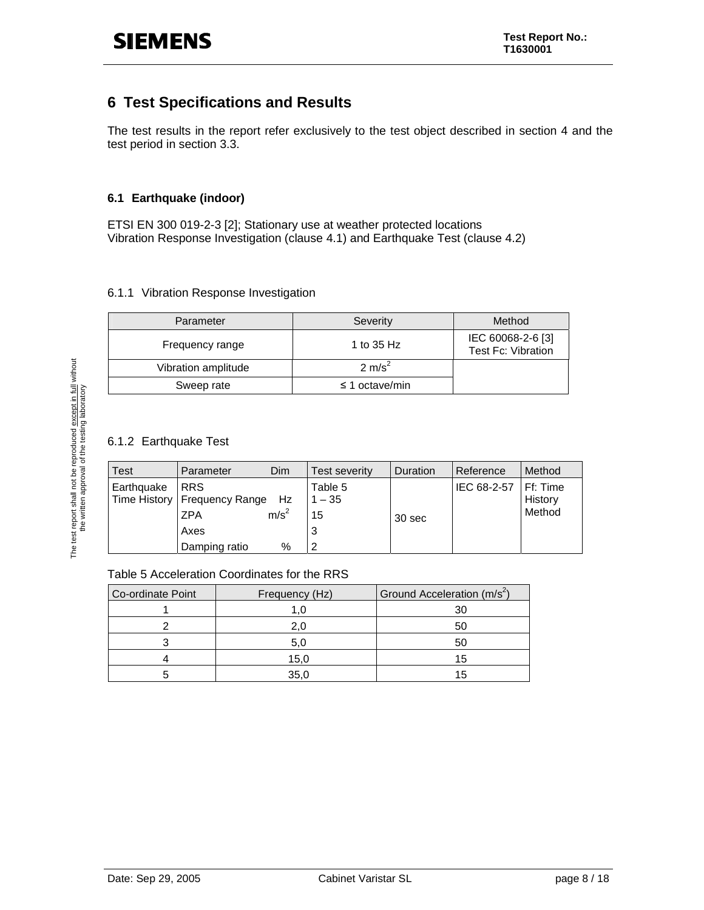# **6 Test Specifications and Results**

The test results in the report refer exclusively to the test object described in section 4 and the test period in section 3.3.

### **6.1 Earthquake (indoor)**

ETSI EN 300 019-2-3 [2]; Stationary use at weather protected locations Vibration Response Investigation (clause 4.1) and Earthquake Test (clause 4.2)

#### 6.1.1 Vibration Response Investigation

| Parameter           | Severity            | Method                                         |
|---------------------|---------------------|------------------------------------------------|
| Frequency range     | 1 to 35 Hz          | IEC 60068-2-6 [3]<br><b>Test Fc: Vibration</b> |
| Vibration amplitude | $2 \text{ m/s}^2$   |                                                |
| Sweep rate          | $\leq$ 1 octave/min |                                                |

### 6.1.2 Earthquake Test

| Test       | Parameter                                                                         | Dim                      | Test severity                       | Duration | Reference   | Method                                |
|------------|-----------------------------------------------------------------------------------|--------------------------|-------------------------------------|----------|-------------|---------------------------------------|
| Earthquake | I RRS<br>Time History   Frequency Range Hz<br><b>ZPA</b><br>Axes<br>Damping ratio | m/s <sup>2</sup><br>$\%$ | Table 5<br>$1 - 35$<br>15<br>3<br>ົ | 30 sec   | IEC 68-2-57 | <b>IFf: Time</b><br>History<br>Method |

#### Table 5 Acceleration Coordinates for the RRS

| Co-ordinate Point | Frequency (Hz) | Ground Acceleration (m/s <sup>2</sup> ) |
|-------------------|----------------|-----------------------------------------|
|                   |                | 30                                      |
|                   |                | 50                                      |
|                   | 5.C            | 50                                      |
|                   | 15,0           | 15                                      |
|                   | 35.0           | 15                                      |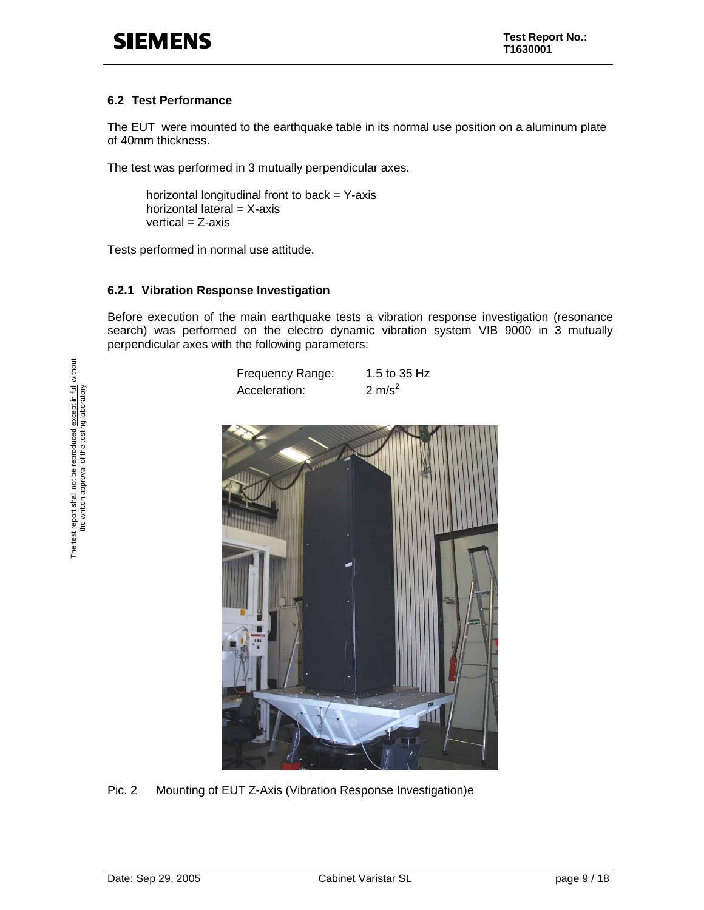### **6.2 Test Performance**

The EUT were mounted to the earthquake table in its normal use position on a aluminum plate of 40mm thickness.

The test was performed in 3 mutually perpendicular axes.

horizontal longitudinal front to back  $=$  Y-axis horizontal lateral =  $X$ -axis  $vertical = Z-axis$ 

Tests performed in normal use attitude.

#### **6.2.1 Vibration Response Investigation**

Before execution of the main earthquake tests a vibration response investigation (resonance search) was performed on the electro dynamic vibration system VIB 9000 in 3 mutually perpendicular axes with the following parameters:





Pic. 2 Mounting of EUT Z-Axis (Vibration Response Investigation)e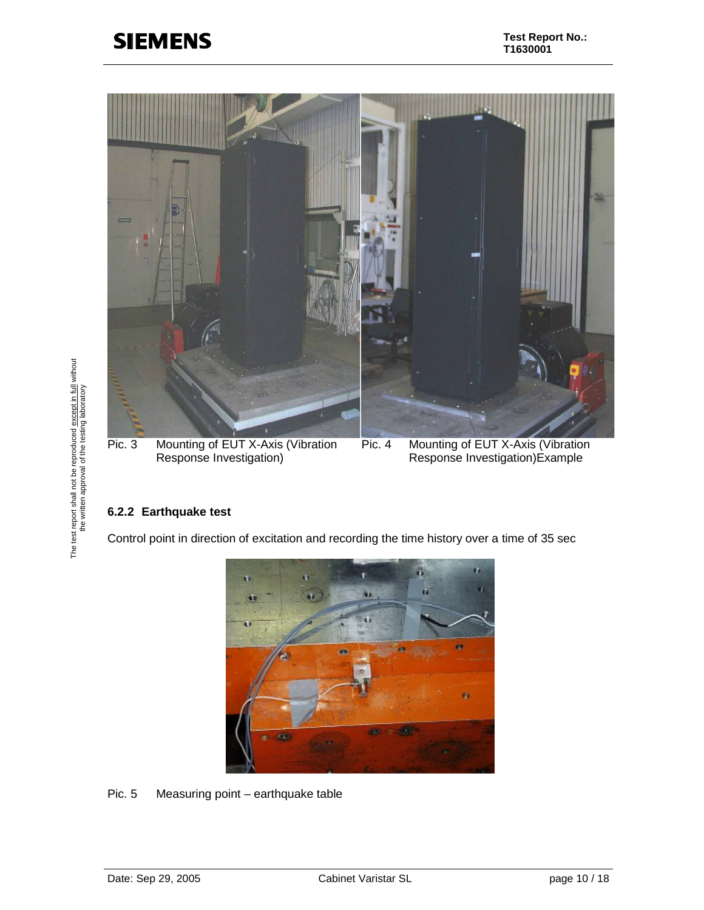

### **6.2.2 Earthquake test**

Control point in direction of excitation and recording the time history over a time of 35 sec



Pic. 5 Measuring point – earthquake table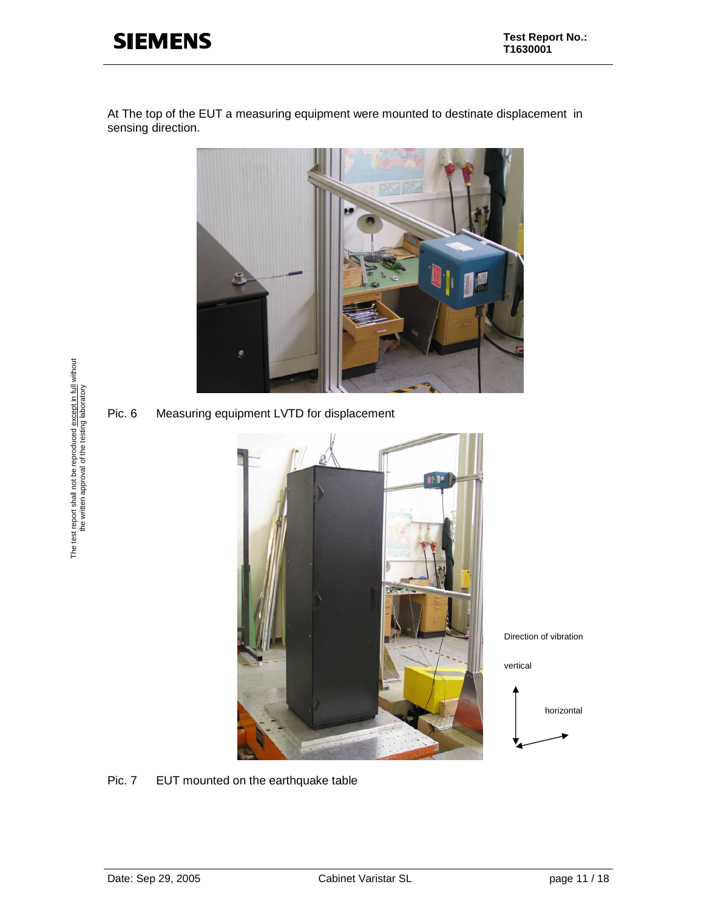At The top of the EUT a measuring equipment were mounted to destinate displacement in sensing direction.



Pic. 6 Measuring equipment LVTD for displacement



Direction of vibration

vertical



Pic. 7 EUT mounted on the earthquake table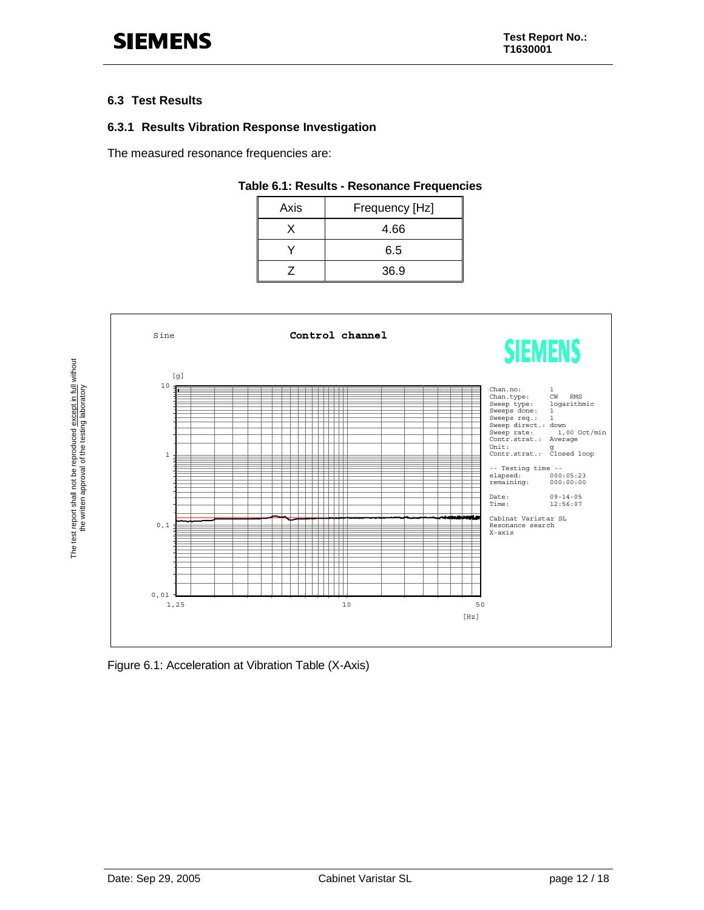#### **6.3 Test Results**

### **6.3.1 Results Vibration Response Investigation**

The measured resonance frequencies are:

#### **Table 6.1: Results - Resonance Frequencies**

| Axis | Frequency [Hz] |  |
|------|----------------|--|
|      | 4.66           |  |
|      | 6.5            |  |
|      | 36.9           |  |



Figure 6.1: Acceleration at Vibration Table (X-Axis)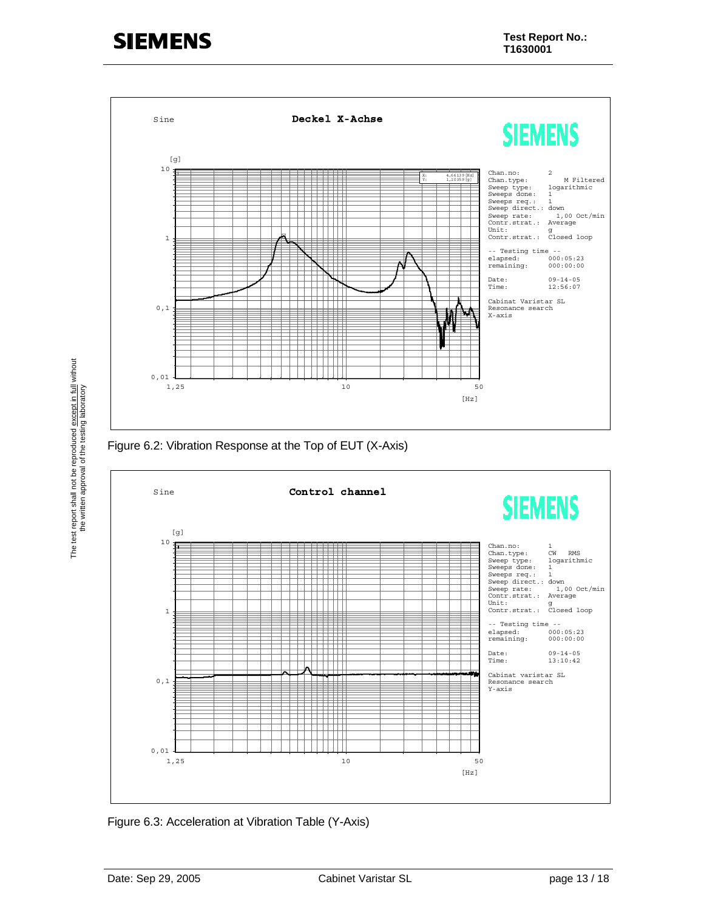



Figure 6.3: Acceleration at Vibration Table (Y-Axis)

The test report shall not be reproduced except in full without the written approval of the testing laboratory

The test report shall not be reproduced except in full without<br>the written approval of the testing laboratory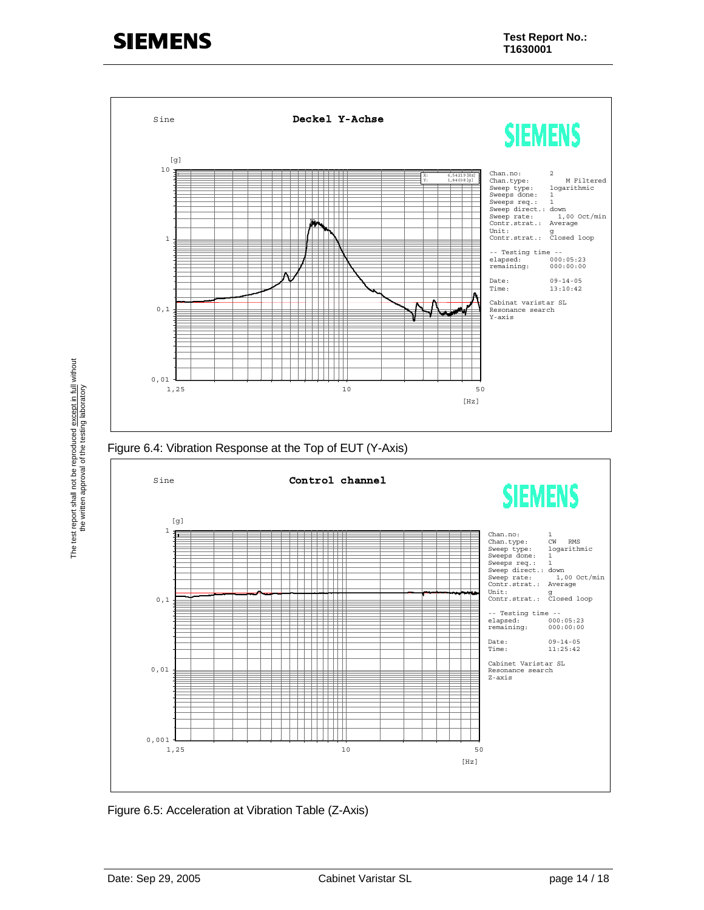

Figure 6.5: Acceleration at Vibration Table (Z-Axis)

The test report shall not be reproduced except in full without the written approval of the testing laboratory

The test report shall not be reproduced except in full without<br>the written approval of the testing laboratory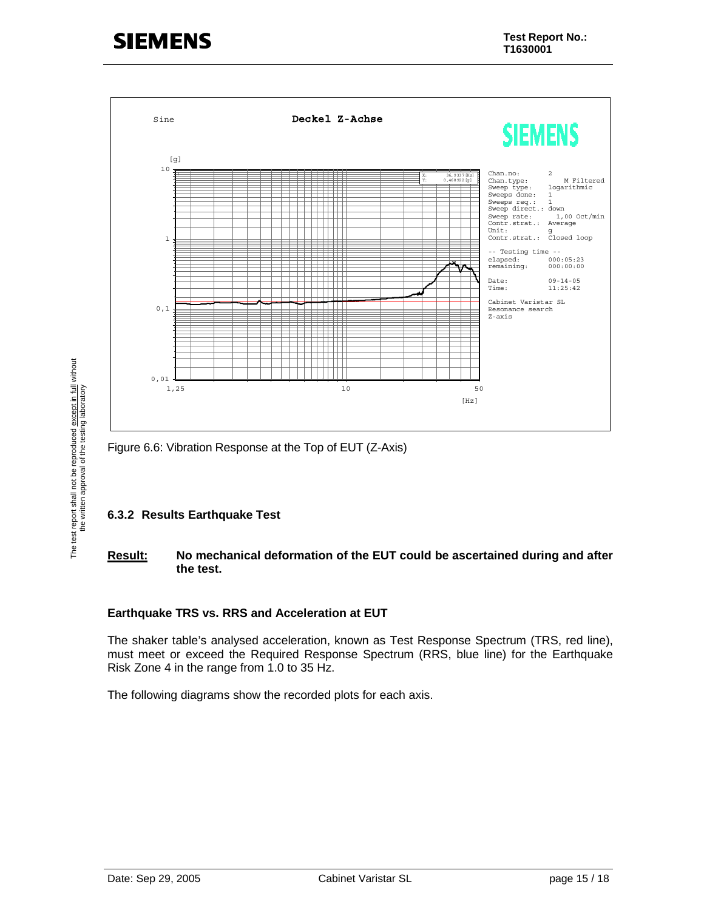

Figure 6.6: Vibration Response at the Top of EUT (Z-Axis)

### **6.3.2 Results Earthquake Test**

### **Result: No mechanical deformation of the EUT could be ascertained during and after the test.**

### **Earthquake TRS vs. RRS and Acceleration at EUT**

The shaker table's analysed acceleration, known as Test Response Spectrum (TRS, red line), must meet or exceed the Required Response Spectrum (RRS, blue line) for the Earthquake Risk Zone 4 in the range from 1.0 to 35 Hz.

The following diagrams show the recorded plots for each axis.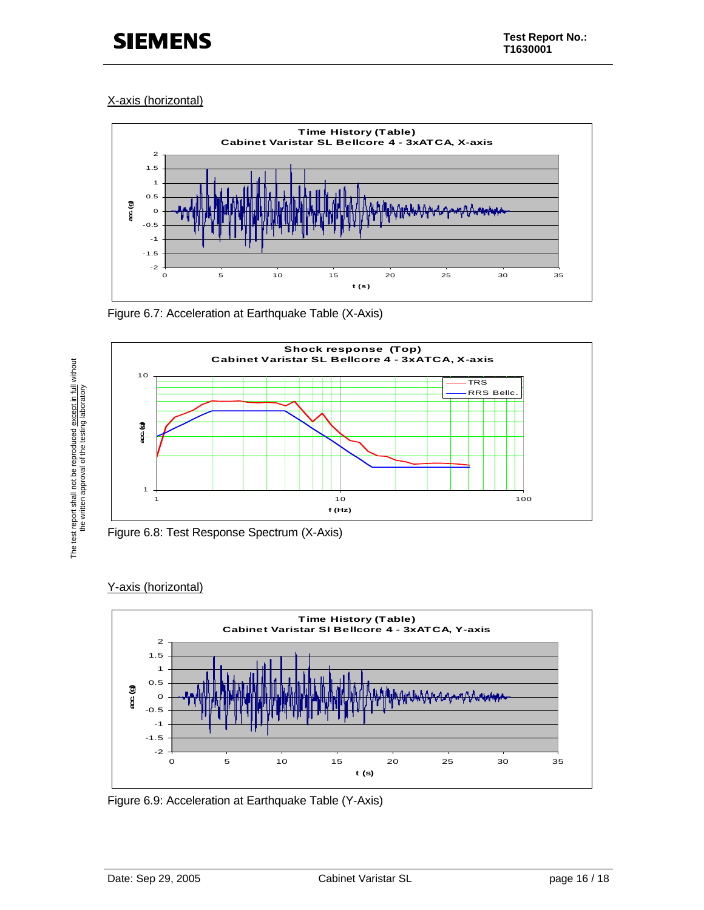### X-axis (horizontal)



Figure 6.7: Acceleration at Earthquake Table (X-Axis)



Figure 6.8: Test Response Spectrum (X-Axis)

### Y-axis (horizontal)

The test report shall not be reproduced except in full without the written approval of the testing laboratory

The test report shall not be reproduced except in full without<br>the written approval of the testing laboratory



Figure 6.9: Acceleration at Earthquake Table (Y-Axis)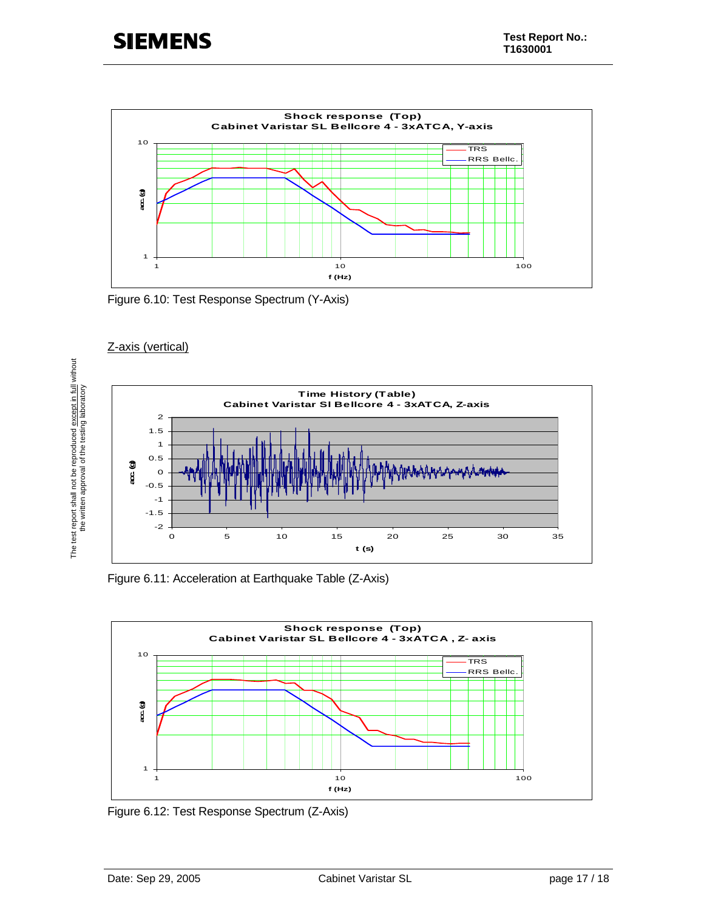

Figure 6.10: Test Response Spectrum (Y-Axis)



Z-axis (vertical)

Figure 6.11: Acceleration at Earthquake Table (Z-Axis)



Figure 6.12: Test Response Spectrum (Z-Axis)